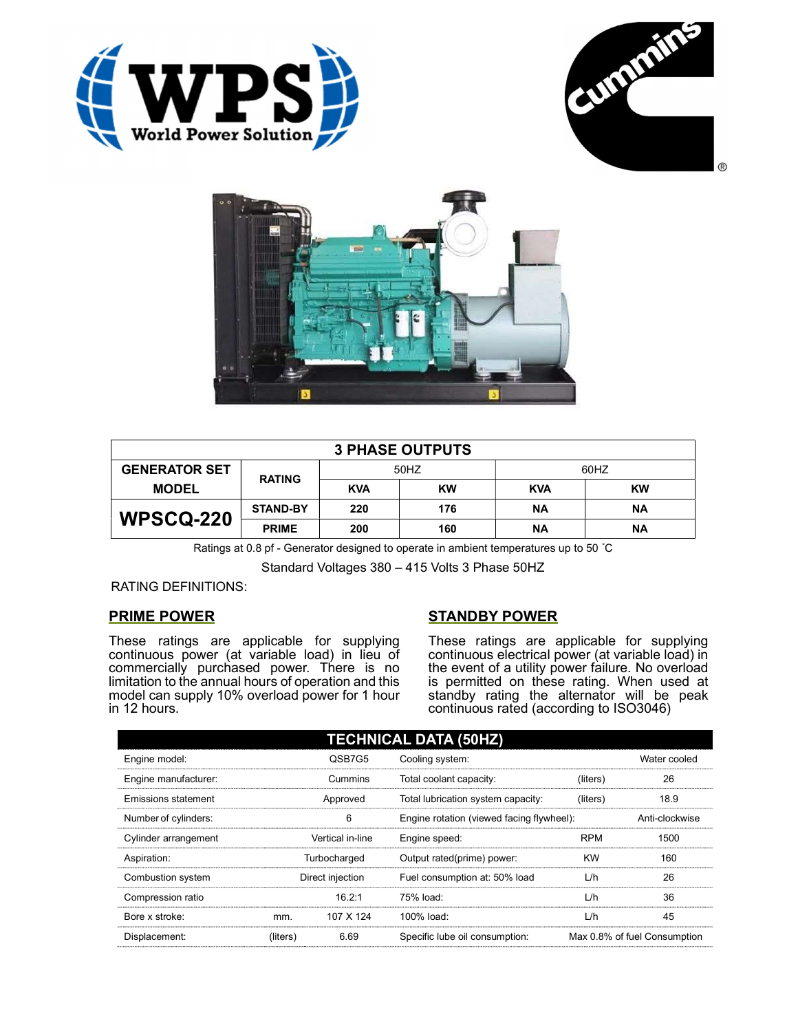





| <b>3 PHASE OUTPUTS</b> |                 |            |           |            |           |  |
|------------------------|-----------------|------------|-----------|------------|-----------|--|
| <b>GENERATOR SET</b>   | <b>RATING</b>   | 50HZ       |           | 60HZ       |           |  |
| <b>MODEL</b>           |                 | <b>KVA</b> | <b>KW</b> | <b>KVA</b> | <b>KW</b> |  |
| <b>WPSCQ-220</b>       | <b>STAND-BY</b> | 220        | 176       | ΝA         | ΝA        |  |
|                        | <b>PRIME</b>    | 200        | 160       | ΝA         | ΝA        |  |

Ratings at 0.8 pf - Generator designed to operate in ambient temperatures up to 50 °C

Standard Voltages 380 – 415 Volts 3 Phase 50HZ

RATING DEFINITIONS:

## PRIME POWER

These ratings are applicable for supplying continuous power (at variable load) in lieu of commercially purchased power. There is no limitation to the annual hours of operation and this model can supply 10% overload power for 1 hour in 12 hours.

## STANDBY POWER

These ratings are applicable for supplying continuous electrical power (at variable load) in the event of a utility power failure. No overload is permitted on these rating. When used at standby rating the alternator will be peak continuous rated (according to ISO3046)

| <b>TECHNICAL DATA (50HZ)</b> |                  |           |                                           |            |                              |  |
|------------------------------|------------------|-----------|-------------------------------------------|------------|------------------------------|--|
| Engine model:                |                  | QSB7G5    | Cooling system:                           |            | Water cooled                 |  |
| Engine manufacturer:         |                  | Cummins   | Total coolant capacity:                   | (liters)   | 26                           |  |
| Emissions statement          | Approved         |           | Total lubrication system capacity:        | (liters)   | 18.9                         |  |
| Number of cylinders:         | 6                |           | Engine rotation (viewed facing flywheel): |            | Anti-clockwise               |  |
| Cylinder arrangement         | Vertical in-line |           | Engine speed:                             | <b>RPM</b> | 1500                         |  |
| Aspiration:                  | Turbocharged     |           | Output rated(prime) power:                | <b>KW</b>  | 160                          |  |
| Combustion system            | Direct injection |           | Fuel consumption at: 50% load             | L/h        | 26                           |  |
| Compression ratio            |                  | 16.2:1    | 75% load:                                 | L/h        | 36                           |  |
| Bore x stroke:               | mm.              | 107 X 124 | 100% load:                                | L/h        | 45                           |  |
| Displacement:                | (liters)         | 6.69      | Specific lube oil consumption:            |            | Max 0.8% of fuel Consumption |  |